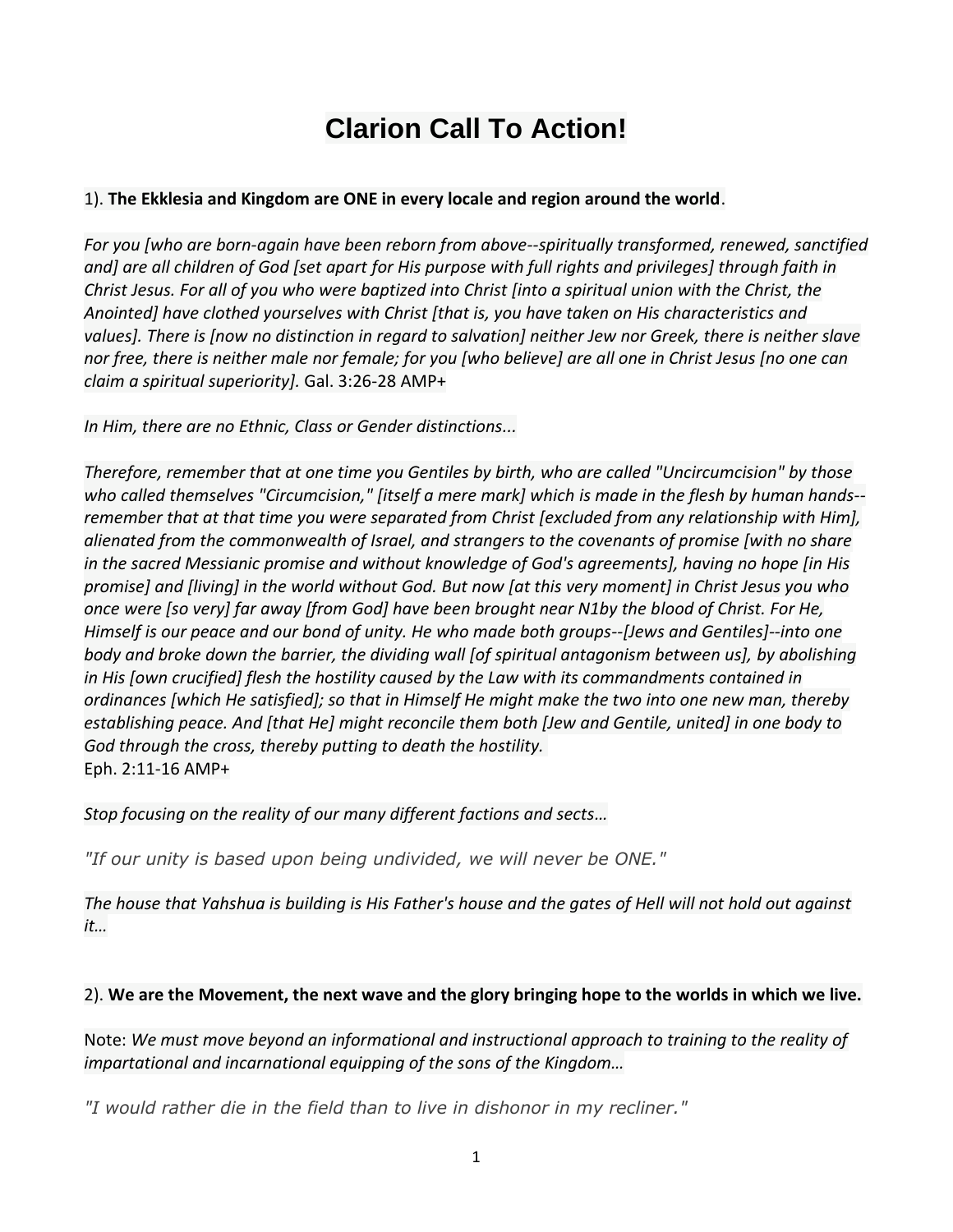# **Clarion Call To Action!**

## 1). **The Ekklesia and Kingdom are ONE in every locale and region around the world**.

*For you [who are born-again have been reborn from above--spiritually transformed, renewed, sanctified and] are all children of God [set apart for His purpose with full rights and privileges] through faith in Christ Jesus. For all of you who were baptized into Christ [into a spiritual union with the Christ, the Anointed] have clothed yourselves with Christ [that is, you have taken on His characteristics and values]. There is [now no distinction in regard to salvation] neither Jew nor Greek, there is neither slave nor free, there is neither male nor female; for you [who believe] are all one in Christ Jesus [no one can claim a spiritual superiority].* Gal. 3:26-28 AMP+

*In Him, there are no Ethnic, Class or Gender distinctions...*

*Therefore, remember that at one time you Gentiles by birth, who are called "Uncircumcision" by those who called themselves "Circumcision," [itself a mere mark] which is made in the flesh by human hands- remember that at that time you were separated from Christ [excluded from any relationship with Him], alienated from the commonwealth of Israel, and strangers to the covenants of promise [with no share in the sacred Messianic promise and without knowledge of God's agreements], having no hope [in His promise] and [living] in the world without God. But now [at this very moment] in Christ Jesus you who once were [so very] far away [from God] have been brought near N1by the blood of Christ. For He, Himself is our peace and our bond of unity. He who made both groups--[Jews and Gentiles]--into one body and broke down the barrier, the dividing wall [of spiritual antagonism between us], by abolishing in His [own crucified] flesh the hostility caused by the Law with its commandments contained in ordinances [which He satisfied]; so that in Himself He might make the two into one new man, thereby establishing peace. And [that He] might reconcile them both [Jew and Gentile, united] in one body to God through the cross, thereby putting to death the hostility.* Eph. 2:11-16 AMP+

*Stop focusing on the reality of our many different factions and sects…*

*"If our unity is based upon being undivided, we will never be ONE."*

*The house that Yahshua is building is His Father's house and the gates of Hell will not hold out against it…*

## 2). **We are the Movement, the next wave and the glory bringing hope to the worlds in which we live.**

Note: *We must move beyond an informational and instructional approach to training to the reality of impartational and incarnational equipping of the sons of the Kingdom…*

*"I would rather die in the field than to live in dishonor in my recliner."*